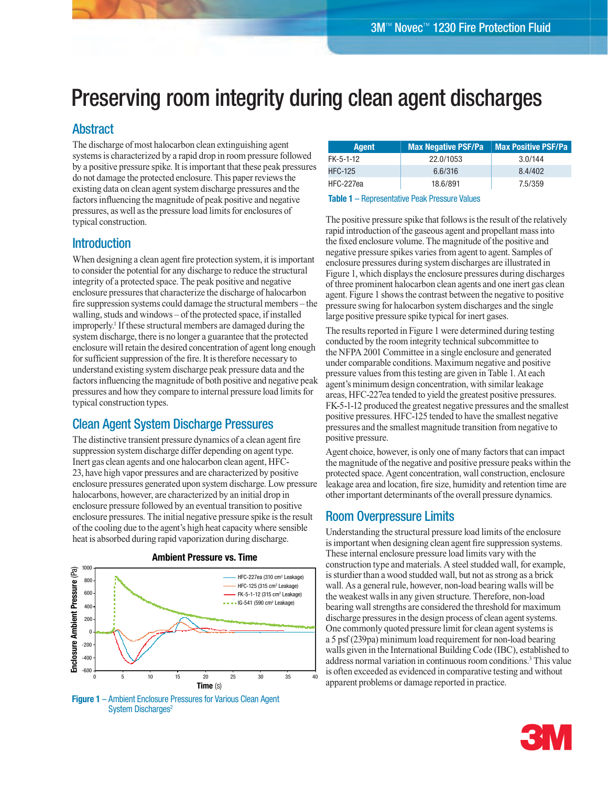# Preserving room integrity during clean agent discharges

## Abstract

The discharge of most halocarbon clean extinguishing agent systems is characterized by a rapid drop in room pressure followed by a positive pressure spike. It is important that these peak pressures do not damage the protected enclosure. This paper reviews the existing data on clean agent system discharge pressures and the factors influencing the magnitude of peak positive and negative pressures, as well as the pressure load limits for enclosures of typical construction.

## Introduction

When designing a clean agent fire protection system, it is important to consider the potential for any discharge to reduce the structural integrity of a protected space. The peak positive and negative enclosure pressures that characterize the discharge of halocarbon fire suppression systems could damage the structural members – the walling, studs and windows – of the protected space, if installed improperly.<sup>1</sup> If these structural members are damaged during the system discharge, there is no longer a guarantee that the protected enclosure will retain the desired concentration of agent long enough for sufficient suppression of the fire. It is therefore necessary to understand existing system discharge peak pressure data and the factors influencing the magnitude of both positive and negative peak pressures and how they compare to internal pressure load limits for typical construction types.

## Clean Agent System Discharge Pressures

The distinctive transient pressure dynamics of a clean agent fire suppression system discharge differ depending on agent type. Inert gas clean agents and one halocarbon clean agent, HFC-23, have high vapor pressures and are characterized by positive enclosure pressures generated upon system discharge. Low pressure halocarbons, however, are characterized by an initial drop in enclosure pressure followed by an eventual transition to positive enclosure pressures. The initial negative pressure spike is the result of the cooling due to the agent's high heat capacity where sensible heat is absorbed during rapid vaporization during discharge.

**Ambient Pressure vs. Time**



#### **Figure 1** – Ambient Enclosure Pressures for Various Clean Agent System Discharges<sup>2</sup>

| Agent     | <b>Max Negative PSF/Pa</b> | <b>Max Positive PSF/Pa</b> |
|-----------|----------------------------|----------------------------|
| FK-5-1-12 | 22.0/1053                  | 3.0/144                    |
| HFC-125   | 6.6/316                    | 8.4/402                    |
| HFC-227ea | 18.6/891                   | 7.5/359                    |

#### **Table 1** – Representative Peak Pressure Values

The positive pressure spike that follows is the result of the relatively rapid introduction of the gaseous agent and propellant mass into the fixed enclosure volume. The magnitude of the positive and negative pressure spikes varies from agent to agent. Samples of enclosure pressures during system discharges are illustrated in Figure 1, which displays the enclosure pressures during discharges of three prominent halocarbon clean agents and one inert gas clean agent. Figure 1 shows the contrast between the negative to positive pressure swing for halocarbon system discharges and the single large positive pressure spike typical for inert gases.

The results reported in Figure 1 were determined during testing conducted by the room integrity technical subcommittee to the NFPA 2001 Committee in a single enclosure and generated under comparable conditions. Maximum negative and positive pressure values from this testing are given in Table 1. At each agent's minimum design concentration, with similar leakage areas, HFC-227ea tended to yield the greatest positive pressures. FK-5-1-12 produced the greatest negative pressures and the smallest positive pressures. HFC-125 tended to have the smallest negative pressures and the smallest magnitude transition from negative to positive pressure.

Agent choice, however, is only one of many factors that can impact the magnitude of the negative and positive pressure peaks within the protected space. Agent concentration, wall construction, enclosure leakage area and location, fire size, humidity and retention time are other important determinants of the overall pressure dynamics.

## Room Overpressure Limits

Understanding the structural pressure load limits of the enclosure is important when designing clean agent fire suppression systems. These internal enclosure pressure load limits vary with the construction type and materials. A steel studded wall, for example, is sturdier than a wood studded wall, but not as strong as a brick wall. As a general rule, however, non-load bearing walls will be the weakest walls in any given structure. Therefore, non-load bearing wall strengths are considered the threshold for maximum discharge pressures in the design process of clean agent systems. One commonly quoted pressure limit for clean agent systems is a 5 psf (239pa) minimum load requirement for non-load bearing walls given in the International Building Code (IBC), established to address normal variation in continuous room conditions.3 This value is often exceeded as evidenced in comparative testing and without apparent problems or damage reported in practice.